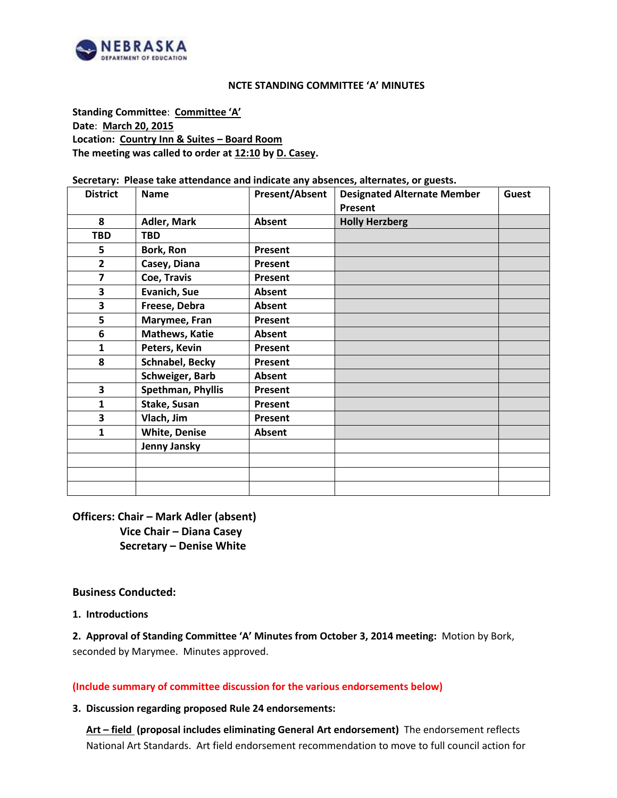

#### **NCTE STANDING COMMITTEE 'A' MINUTES**

**Standing Committee**: **Committee 'A' Date**: **March 20, 2015 Location: Country Inn & Suites – Board Room The meeting was called to order at 12:10 by D. Casey.**

#### **Secretary: Please take attendance and indicate any absences, alternates, or guests.**

| <b>District</b> | <b>Name</b>           | <b>Present/Absent</b> | <b>Designated Alternate Member</b> | <b>Guest</b> |
|-----------------|-----------------------|-----------------------|------------------------------------|--------------|
|                 |                       |                       | Present                            |              |
| 8               | Adler, Mark           | Absent                | <b>Holly Herzberg</b>              |              |
| <b>TBD</b>      | <b>TBD</b>            |                       |                                    |              |
| 5               | Bork, Ron             | <b>Present</b>        |                                    |              |
| $\overline{2}$  | Casey, Diana          | Present               |                                    |              |
| 7               | Coe, Travis           | Present               |                                    |              |
| 3               | Evanich, Sue          | Absent                |                                    |              |
| 3               | Freese, Debra         | Absent                |                                    |              |
| 5               | Marymee, Fran         | Present               |                                    |              |
| 6               | <b>Mathews, Katie</b> | Absent                |                                    |              |
| 1               | Peters, Kevin         | Present               |                                    |              |
| 8               | Schnabel, Becky       | Present               |                                    |              |
|                 | Schweiger, Barb       | Absent                |                                    |              |
| 3               | Spethman, Phyllis     | Present               |                                    |              |
| 1               | Stake, Susan          | Present               |                                    |              |
| 3               | Vlach, Jim            | Present               |                                    |              |
| 1               | <b>White, Denise</b>  | Absent                |                                    |              |
|                 | Jenny Jansky          |                       |                                    |              |
|                 |                       |                       |                                    |              |
|                 |                       |                       |                                    |              |
|                 |                       |                       |                                    |              |

**Officers: Chair – Mark Adler (absent) Vice Chair – Diana Casey Secretary – Denise White**

#### **Business Conducted:**

#### **1. Introductions**

**2. Approval of Standing Committee 'A' Minutes from October 3, 2014 meeting:** Motion by Bork, seconded by Marymee. Minutes approved.

**(Include summary of committee discussion for the various endorsements below)**

#### **3. Discussion regarding proposed Rule 24 endorsements:**

**Art – field (proposal includes eliminating General Art endorsement)** The endorsement reflects National Art Standards. Art field endorsement recommendation to move to full council action for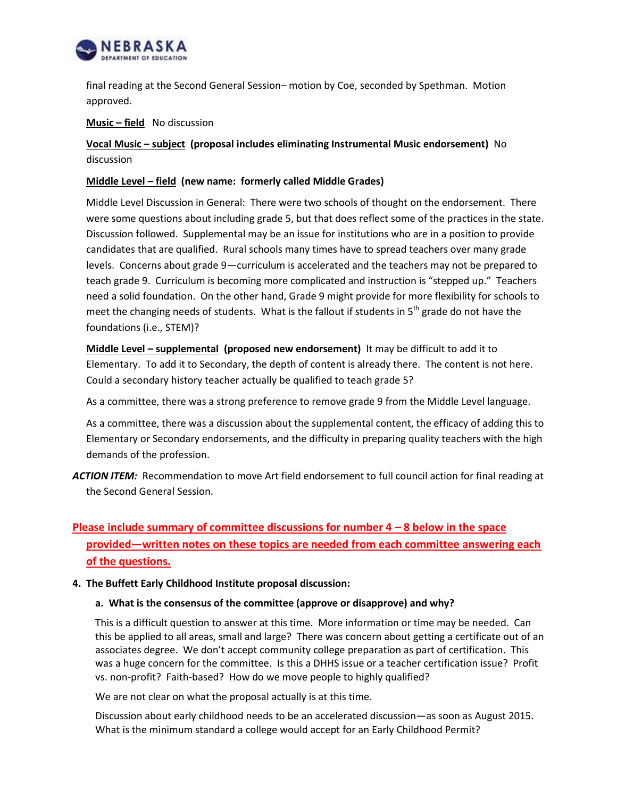

final reading at the Second General Session– motion by Coe, seconded by Spethman. Motion approved.

# **Music – field** No discussion

# **Vocal Music – subject (proposal includes eliminating Instrumental Music endorsement)** No discussion

# **Middle Level – field (new name: formerly called Middle Grades)**

Middle Level Discussion in General: There were two schools of thought on the endorsement. There were some questions about including grade 5, but that does reflect some of the practices in the state. Discussion followed. Supplemental may be an issue for institutions who are in a position to provide candidates that are qualified. Rural schools many times have to spread teachers over many grade levels. Concerns about grade 9—curriculum is accelerated and the teachers may not be prepared to teach grade 9. Curriculum is becoming more complicated and instruction is "stepped up." Teachers need a solid foundation. On the other hand, Grade 9 might provide for more flexibility for schools to meet the changing needs of students. What is the fallout if students in  $5<sup>th</sup>$  grade do not have the foundations (i.e., STEM)?

**Middle Level – supplemental (proposed new endorsement)** It may be difficult to add it to Elementary. To add it to Secondary, the depth of content is already there. The content is not here. Could a secondary history teacher actually be qualified to teach grade 5?

As a committee, there was a strong preference to remove grade 9 from the Middle Level language.

As a committee, there was a discussion about the supplemental content, the efficacy of adding this to Elementary or Secondary endorsements, and the difficulty in preparing quality teachers with the high demands of the profession.

*ACTION ITEM:* Recommendation to move Art field endorsement to full council action for final reading at the Second General Session.

# **Please include summary of committee discussions for number 4 – 8 below in the space provided—written notes on these topics are needed from each committee answering each of the questions.**

#### **4. The Buffett Early Childhood Institute proposal discussion:**

#### **a. What is the consensus of the committee (approve or disapprove) and why?**

This is a difficult question to answer at this time. More information or time may be needed. Can this be applied to all areas, small and large? There was concern about getting a certificate out of an associates degree. We don't accept community college preparation as part of certification. This was a huge concern for the committee. Is this a DHHS issue or a teacher certification issue? Profit vs. non-profit? Faith-based? How do we move people to highly qualified?

We are not clear on what the proposal actually is at this time.

Discussion about early childhood needs to be an accelerated discussion—as soon as August 2015. What is the minimum standard a college would accept for an Early Childhood Permit?